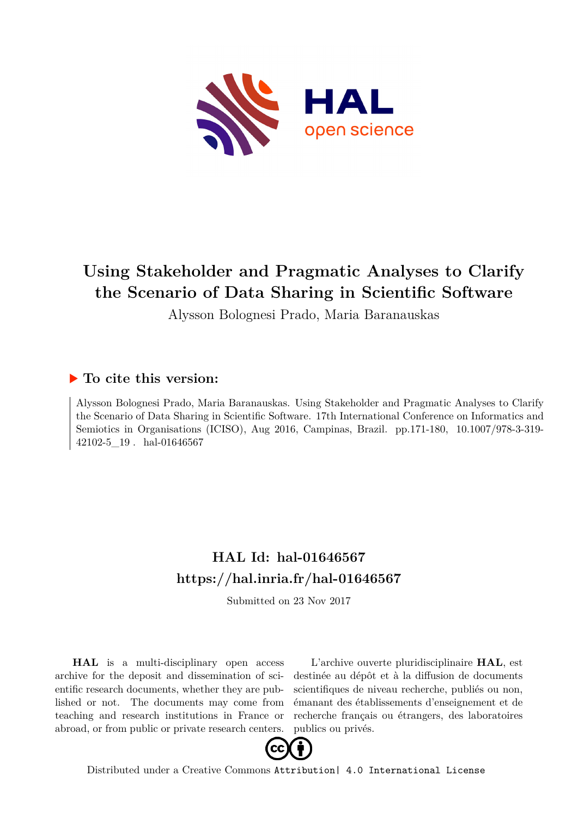

# **Using Stakeholder and Pragmatic Analyses to Clarify the Scenario of Data Sharing in Scientific Software**

Alysson Bolognesi Prado, Maria Baranauskas

## **To cite this version:**

Alysson Bolognesi Prado, Maria Baranauskas. Using Stakeholder and Pragmatic Analyses to Clarify the Scenario of Data Sharing in Scientific Software. 17th International Conference on Informatics and Semiotics in Organisations (ICISO), Aug 2016, Campinas, Brazil. pp.171-180, 10.1007/978-3-319-42102-5 19. hal-01646567

## **HAL Id: hal-01646567 <https://hal.inria.fr/hal-01646567>**

Submitted on 23 Nov 2017

**HAL** is a multi-disciplinary open access archive for the deposit and dissemination of scientific research documents, whether they are published or not. The documents may come from teaching and research institutions in France or abroad, or from public or private research centers.

L'archive ouverte pluridisciplinaire **HAL**, est destinée au dépôt et à la diffusion de documents scientifiques de niveau recherche, publiés ou non, émanant des établissements d'enseignement et de recherche français ou étrangers, des laboratoires publics ou privés.



Distributed under a Creative Commons [Attribution| 4.0 International License](http://creativecommons.org/licenses/by/4.0/)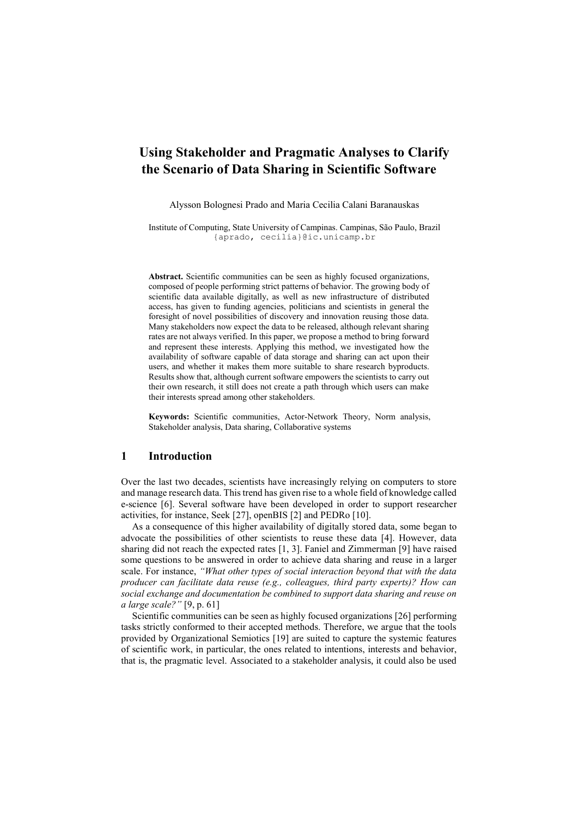### **Using Stakeholder and Pragmatic Analyses to Clarify the Scenario of Data Sharing in Scientific Software**

Alysson Bolognesi Prado and Maria Cecilia Calani Baranauskas

Institute of Computing, State University of Campinas. Campinas, São Paulo, Brazil {aprado, cecilia}@ic.unicamp.br

**Abstract.** Scientific communities can be seen as highly focused organizations, composed of people performing strict patterns of behavior. The growing body of scientific data available digitally, as well as new infrastructure of distributed access, has given to funding agencies, politicians and scientists in general the foresight of novel possibilities of discovery and innovation reusing those data. Many stakeholders now expect the data to be released, although relevant sharing rates are not always verified. In this paper, we propose a method to bring forward and represent these interests. Applying this method, we investigated how the availability of software capable of data storage and sharing can act upon their users, and whether it makes them more suitable to share research byproducts. Results show that, although current software empowers the scientists to carry out their own research, it still does not create a path through which users can make their interests spread among other stakeholders.

**Keywords:** Scientific communities, Actor-Network Theory, Norm analysis, Stakeholder analysis, Data sharing, Collaborative systems

#### **1 Introduction**

Over the last two decades, scientists have increasingly relying on computers to store and manage research data. This trend has given rise to a whole field of knowledge called e-science [6]. Several software have been developed in order to support researcher activities, for instance, Seek [27], openBIS [2] and PEDRo [10].

As a consequence of this higher availability of digitally stored data, some began to advocate the possibilities of other scientists to reuse these data [4]. However, data sharing did not reach the expected rates [1, 3]. Faniel and Zimmerman [9] have raised some questions to be answered in order to achieve data sharing and reuse in a larger scale. For instance, *"What other types of social interaction beyond that with the data producer can facilitate data reuse (e.g., colleagues, third party experts)? How can social exchange and documentation be combined to support data sharing and reuse on a large scale?"* [9, p. 61]

Scientific communities can be seen as highly focused organizations [26] performing tasks strictly conformed to their accepted methods. Therefore, we argue that the tools provided by Organizational Semiotics [19] are suited to capture the systemic features of scientific work, in particular, the ones related to intentions, interests and behavior, that is, the pragmatic level. Associated to a stakeholder analysis, it could also be used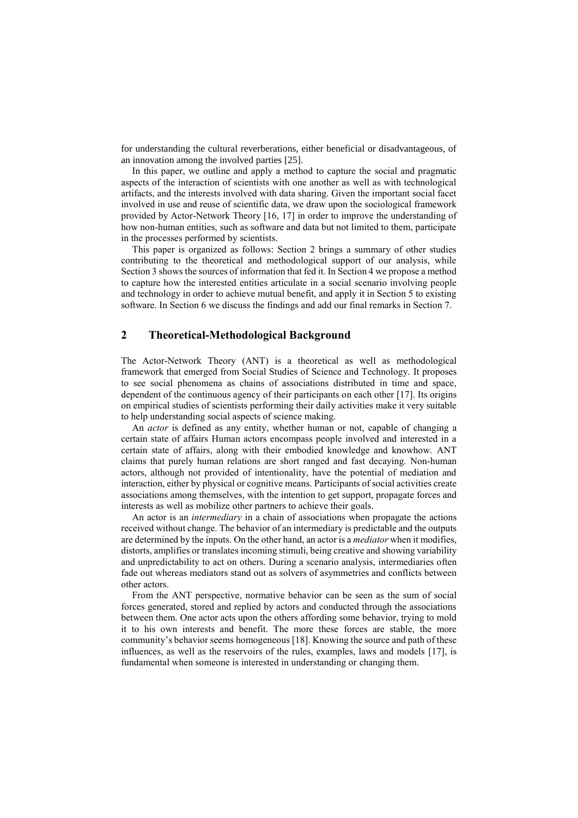for understanding the cultural reverberations, either beneficial or disadvantageous, of an innovation among the involved parties [25].

In this paper, we outline and apply a method to capture the social and pragmatic aspects of the interaction of scientists with one another as well as with technological artifacts, and the interests involved with data sharing. Given the important social facet involved in use and reuse of scientific data, we draw upon the sociological framework provided by Actor-Network Theory [16, 17] in order to improve the understanding of how non-human entities, such as software and data but not limited to them, participate in the processes performed by scientists.

This paper is organized as follows: Section 2 brings a summary of other studies contributing to the theoretical and methodological support of our analysis, while Section 3 shows the sources of information that fed it. In Section 4 we propose a method to capture how the interested entities articulate in a social scenario involving people and technology in order to achieve mutual benefit, and apply it in Section 5 to existing software. In Section 6 we discuss the findings and add our final remarks in Section 7.

#### **2 Theoretical-Methodological Background**

The Actor-Network Theory (ANT) is a theoretical as well as methodological framework that emerged from Social Studies of Science and Technology. It proposes to see social phenomena as chains of associations distributed in time and space, dependent of the continuous agency of their participants on each other [17]. Its origins on empirical studies of scientists performing their daily activities make it very suitable to help understanding social aspects of science making.

An *actor* is defined as any entity, whether human or not, capable of changing a certain state of affairs Human actors encompass people involved and interested in a certain state of affairs, along with their embodied knowledge and knowhow. ANT claims that purely human relations are short ranged and fast decaying. Non-human actors, although not provided of intentionality, have the potential of mediation and interaction, either by physical or cognitive means. Participants of social activities create associations among themselves, with the intention to get support, propagate forces and interests as well as mobilize other partners to achieve their goals.

An actor is an *intermediary* in a chain of associations when propagate the actions received without change. The behavior of an intermediary is predictable and the outputs are determined by the inputs. On the other hand, an actor is a *mediator* when it modifies, distorts, amplifies or translates incoming stimuli, being creative and showing variability and unpredictability to act on others. During a scenario analysis, intermediaries often fade out whereas mediators stand out as solvers of asymmetries and conflicts between other actors.

From the ANT perspective, normative behavior can be seen as the sum of social forces generated, stored and replied by actors and conducted through the associations between them. One actor acts upon the others affording some behavior, trying to mold it to his own interests and benefit. The more these forces are stable, the more community's behavior seems homogeneous [18]. Knowing the source and path of these influences, as well as the reservoirs of the rules, examples, laws and models [17], is fundamental when someone is interested in understanding or changing them.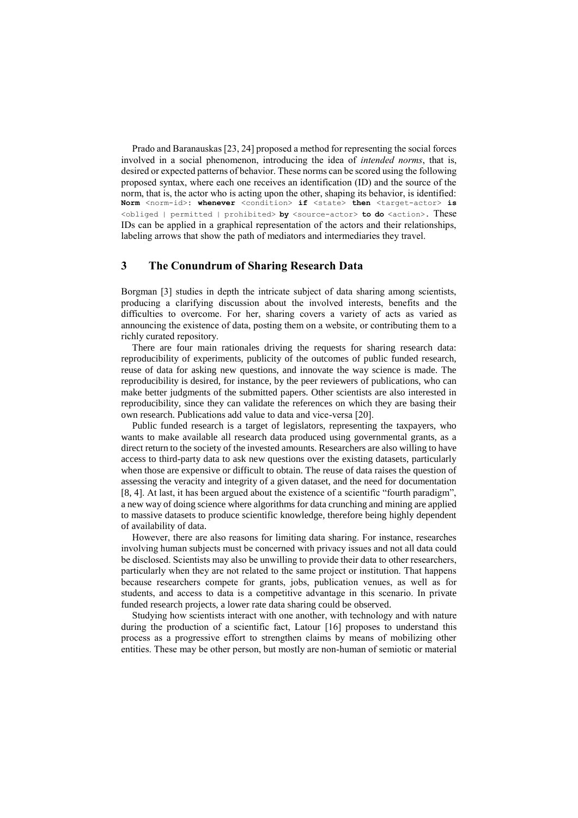Prado and Baranauskas [23, 24] proposed a method for representing the social forces involved in a social phenomenon, introducing the idea of *intended norms*, that is, desired or expected patterns of behavior. These norms can be scored using the following proposed syntax, where each one receives an identification (ID) and the source of the norm, that is, the actor who is acting upon the other, shaping its behavior, is identified: Norm <norm-id>: whenever <condition> if <state> then <target-actor> is <obliged | permitted | prohibited> **by** <source-actor> **to do** <action>. These IDs can be applied in a graphical representation of the actors and their relationships, labeling arrows that show the path of mediators and intermediaries they travel.

#### **3 The Conundrum of Sharing Research Data**

Borgman [3] studies in depth the intricate subject of data sharing among scientists, producing a clarifying discussion about the involved interests, benefits and the difficulties to overcome. For her, sharing covers a variety of acts as varied as announcing the existence of data, posting them on a website, or contributing them to a richly curated repository.

There are four main rationales driving the requests for sharing research data: reproducibility of experiments, publicity of the outcomes of public funded research, reuse of data for asking new questions, and innovate the way science is made. The reproducibility is desired, for instance, by the peer reviewers of publications, who can make better judgments of the submitted papers. Other scientists are also interested in reproducibility, since they can validate the references on which they are basing their own research. Publications add value to data and vice-versa [20].

Public funded research is a target of legislators, representing the taxpayers, who wants to make available all research data produced using governmental grants, as a direct return to the society of the invested amounts. Researchers are also willing to have access to third-party data to ask new questions over the existing datasets, particularly when those are expensive or difficult to obtain. The reuse of data raises the question of assessing the veracity and integrity of a given dataset, and the need for documentation [8, 4]. At last, it has been argued about the existence of a scientific "fourth paradigm", a new way of doing science where algorithms for data crunching and mining are applied to massive datasets to produce scientific knowledge, therefore being highly dependent of availability of data.

However, there are also reasons for limiting data sharing. For instance, researches involving human subjects must be concerned with privacy issues and not all data could be disclosed. Scientists may also be unwilling to provide their data to other researchers, particularly when they are not related to the same project or institution. That happens because researchers compete for grants, jobs, publication venues, as well as for students, and access to data is a competitive advantage in this scenario. In private funded research projects, a lower rate data sharing could be observed.

Studying how scientists interact with one another, with technology and with nature during the production of a scientific fact, Latour [16] proposes to understand this process as a progressive effort to strengthen claims by means of mobilizing other entities. These may be other person, but mostly are non-human of semiotic or material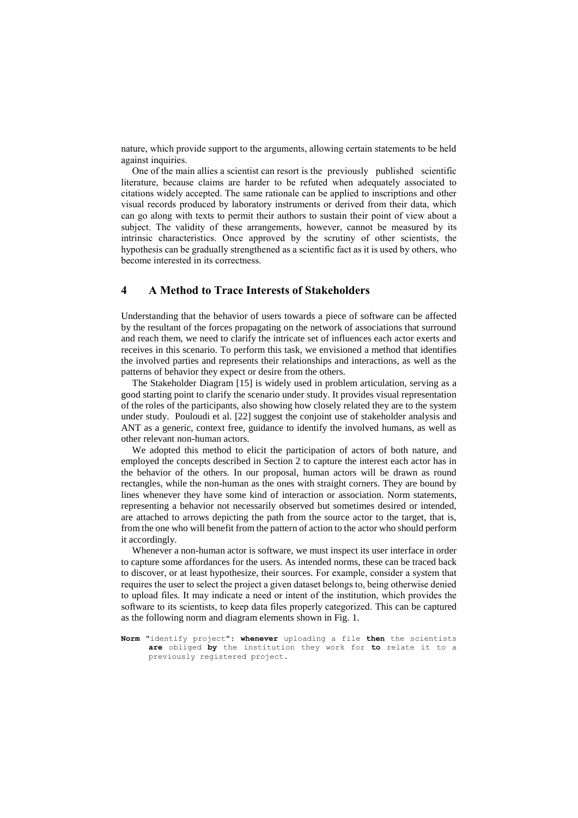nature, which provide support to the arguments, allowing certain statements to be held against inquiries.

One of the main allies a scientist can resort is the previously published scientific literature, because claims are harder to be refuted when adequately associated to citations widely accepted. The same rationale can be applied to inscriptions and other visual records produced by laboratory instruments or derived from their data, which can go along with texts to permit their authors to sustain their point of view about a subject. The validity of these arrangements, however, cannot be measured by its intrinsic characteristics. Once approved by the scrutiny of other scientists, the hypothesis can be gradually strengthened as a scientific fact as it is used by others, who become interested in its correctness.

#### **4 A Method to Trace Interests of Stakeholders**

Understanding that the behavior of users towards a piece of software can be affected by the resultant of the forces propagating on the network of associations that surround and reach them, we need to clarify the intricate set of influences each actor exerts and receives in this scenario. To perform this task, we envisioned a method that identifies the involved parties and represents their relationships and interactions, as well as the patterns of behavior they expect or desire from the others.

The Stakeholder Diagram [15] is widely used in problem articulation, serving as a good starting point to clarify the scenario under study. It provides visual representation of the roles of the participants, also showing how closely related they are to the system under study. Pouloudi et al. [22] suggest the conjoint use of stakeholder analysis and ANT as a generic, context free, guidance to identify the involved humans, as well as other relevant non-human actors.

We adopted this method to elicit the participation of actors of both nature, and employed the concepts described in Section 2 to capture the interest each actor has in the behavior of the others. In our proposal, human actors will be drawn as round rectangles, while the non-human as the ones with straight corners. They are bound by lines whenever they have some kind of interaction or association. Norm statements, representing a behavior not necessarily observed but sometimes desired or intended, are attached to arrows depicting the path from the source actor to the target, that is, from the one who will benefit from the pattern of action to the actor who should perform it accordingly.

Whenever a non-human actor is software, we must inspect its user interface in order to capture some affordances for the users. As intended norms, these can be traced back to discover, or at least hypothesize, their sources. For example, consider a system that requires the user to select the project a given dataset belongs to, being otherwise denied to upload files. It may indicate a need or intent of the institution, which provides the software to its scientists, to keep data files properly categorized. This can be captured as the following norm and diagram elements shown in Fig. 1.

**Norm** "identify project": **whenever** uploading a file **then** the scientists **are** obliged **by** the institution they work for **to** relate it to a previously registered project.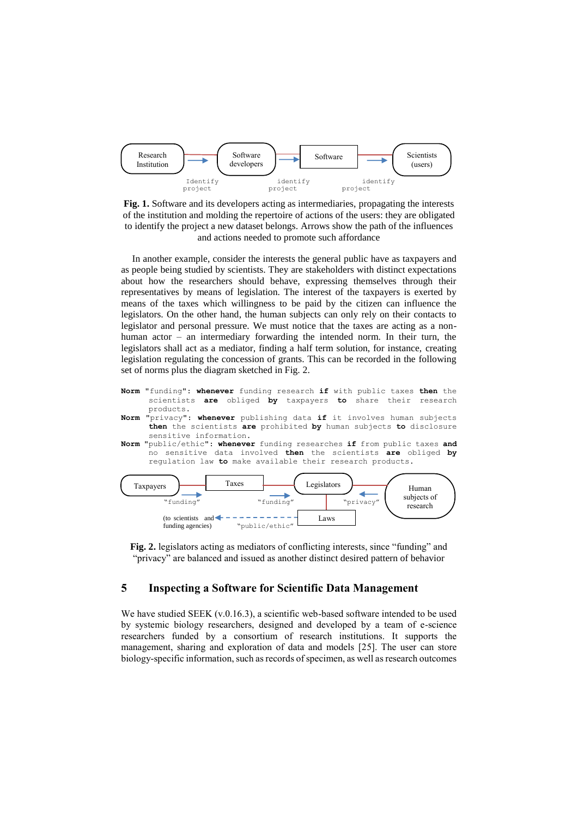

**Fig. 1.** Software and its developers acting as intermediaries, propagating the interests of the institution and molding the repertoire of actions of the users: they are obligated to identify the project a new dataset belongs. Arrows show the path of the influences and actions needed to promote such affordance

In another example, consider the interests the general public have as taxpayers and as people being studied by scientists. They are stakeholders with distinct expectations about how the researchers should behave, expressing themselves through their representatives by means of legislation. The interest of the taxpayers is exerted by means of the taxes which willingness to be paid by the citizen can influence the legislators. On the other hand, the human subjects can only rely on their contacts to legislator and personal pressure. We must notice that the taxes are acting as a nonhuman actor – an intermediary forwarding the intended norm. In their turn, the legislators shall act as a mediator, finding a half term solution, for instance, creating legislation regulating the concession of grants. This can be recorded in the following set of norms plus the diagram sketched in Fig. 2.



**Fig. 2.** legislators acting as mediators of conflicting interests, since "funding" and "privacy" are balanced and issued as another distinct desired pattern of behavior

Laws

#### **5 Inspecting a Software for Scientific Data Management**

"public/ethic"

-------

(to scientists and  $\blacktriangleleft$ <br>funding agencies)

We have studied SEEK (v.0.16.3), a scientific web-based software intended to be used by systemic biology researchers, designed and developed by a team of e-science researchers funded by a consortium of research institutions. It supports the management, sharing and exploration of data and models [25]. The user can store biology-specific information, such as records of specimen, as well as research outcomes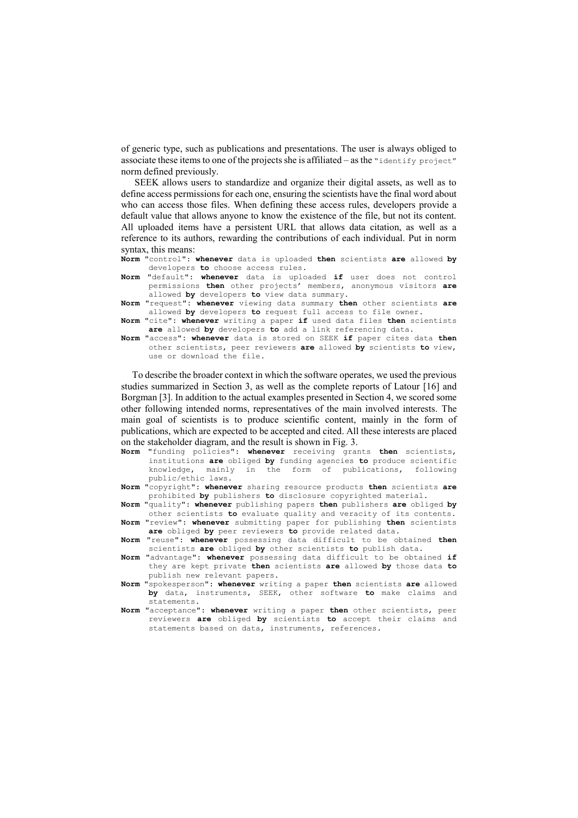of generic type, such as publications and presentations. The user is always obliged to associate these items to one of the projects she is affiliated – as the "identify project" norm defined previously.

SEEK allows users to standardize and organize their digital assets, as well as to define access permissions for each one, ensuring the scientists have the final word about who can access those files. When defining these access rules, developers provide a default value that allows anyone to know the existence of the file, but not its content. All uploaded items have a persistent URL that allows data citation, as well as a reference to its authors, rewarding the contributions of each individual. Put in norm syntax, this means:

**Norm** "control": **whenever** data is uploaded **then** scientists **are** allowed **by** developers **to** choose access rules.

**Norm** "default": **whenever** data is uploaded **if** user does not control permissions **then** other projects' members, anonymous visitors **are** allowed **by** developers **to** view data summary.

**Norm** "request"**: whenever** viewing data summary **then** other scientists **are** allowed **by** developers **to** request full access to file owner.

**Norm** "cite"**: whenever** writing a paper **if** used data files **then** scientists **are** allowed **by** developers **to** add a link referencing data.

**Norm** "access"**: whenever** data is stored on SEEK **if** paper cites data **then** other scientists, peer reviewers **are** allowed **by** scientists **to** view, use or download the file.

To describe the broader context in which the software operates, we used the previous studies summarized in Section 3, as well as the complete reports of Latour [16] and Borgman [3]. In addition to the actual examples presented in Section 4, we scored some other following intended norms, representatives of the main involved interests. The main goal of scientists is to produce scientific content, mainly in the form of publications, which are expected to be accepted and cited. All these interests are placed on the stakeholder diagram, and the result is shown in Fig. 3.

- **Norm** "funding policies": **whenever** receiving grants **then** scientists, institutions **are** obliged **by** funding agencies **to** produce scientific knowledge, mainly in the form of publications, following public/ethic laws.
- **Norm** "copyright": **whenever** sharing resource products **then** scientists **are** prohibited **by** publishers **to** disclosure copyrighted material.
- **Norm** "quality": **whenever** publishing papers **then** publishers **are** obliged **by** other scientists **to** evaluate quality and veracity of its contents. **Norm** "review": **whenever** submitting paper for publishing **then** scientists
- **are** obliged **by** peer reviewers **to** provide related data. **Norm** "reuse": **whenever** possessing data difficult to be obtained **then**
- scientists **are** obliged **by** other scientists **to** publish data.
- **Norm** "advantage": **whenever** possessing data difficult to be obtained **if**  they are kept private **then** scientists **are** allowed **by** those data **to** publish new relevant papers.
- **Norm** "spokesperson": **whenever** writing a paper **then** scientists **are** allowed **by** data, instruments, SEEK, other software **to** make claims and statements.
- **Norm** "acceptance": **whenever** writing a paper **then** other scientists, peer reviewers **are** obliged **by** scientists **to** accept their claims and statements based on data, instruments, references.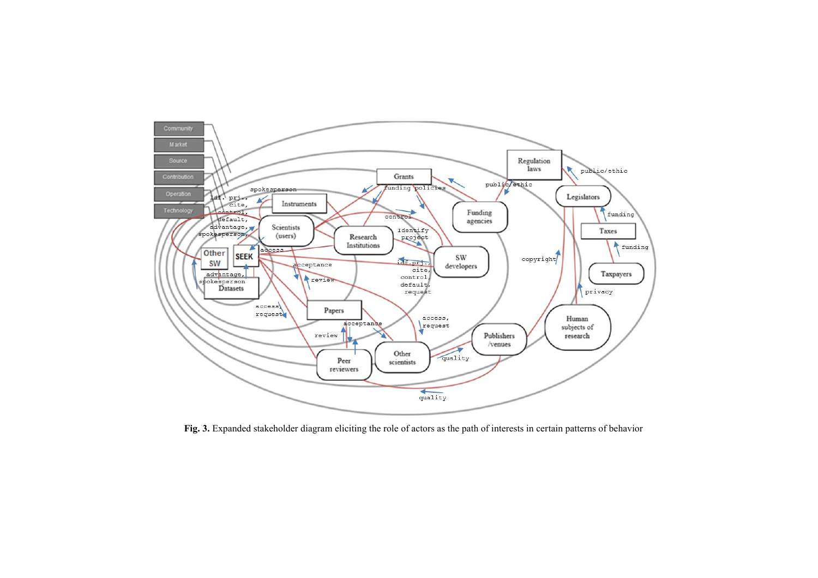

**Fig. 3.** Expanded stakeholder diagram eliciting the role of actors as the path of interests in certain patterns of behavior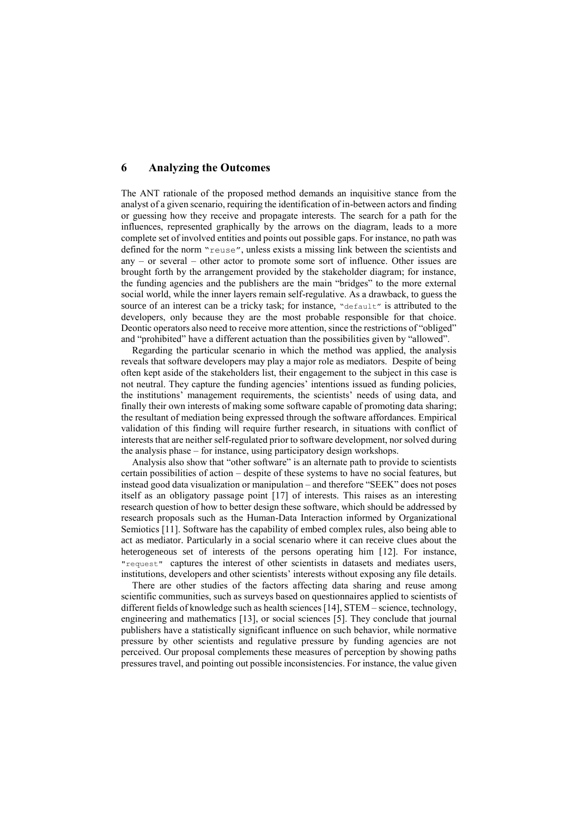#### **6 Analyzing the Outcomes**

The ANT rationale of the proposed method demands an inquisitive stance from the analyst of a given scenario, requiring the identification of in-between actors and finding or guessing how they receive and propagate interests. The search for a path for the influences, represented graphically by the arrows on the diagram, leads to a more complete set of involved entities and points out possible gaps. For instance, no path was defined for the norm "reuse", unless exists a missing link between the scientists and any – or several – other actor to promote some sort of influence. Other issues are brought forth by the arrangement provided by the stakeholder diagram; for instance, the funding agencies and the publishers are the main "bridges" to the more external social world, while the inner layers remain self-regulative. As a drawback, to guess the source of an interest can be a tricky task; for instance, "default" is attributed to the developers, only because they are the most probable responsible for that choice. Deontic operators also need to receive more attention, since the restrictions of "obliged" and "prohibited" have a different actuation than the possibilities given by "allowed".

Regarding the particular scenario in which the method was applied, the analysis reveals that software developers may play a major role as mediators. Despite of being often kept aside of the stakeholders list, their engagement to the subject in this case is not neutral. They capture the funding agencies' intentions issued as funding policies, the institutions' management requirements, the scientists' needs of using data, and finally their own interests of making some software capable of promoting data sharing; the resultant of mediation being expressed through the software affordances. Empirical validation of this finding will require further research, in situations with conflict of interests that are neither self-regulated prior to software development, nor solved during the analysis phase – for instance, using participatory design workshops.

Analysis also show that "other software" is an alternate path to provide to scientists certain possibilities of action – despite of these systems to have no social features, but instead good data visualization or manipulation – and therefore "SEEK" does not poses itself as an obligatory passage point [17] of interests. This raises as an interesting research question of how to better design these software, which should be addressed by research proposals such as the Human-Data Interaction informed by Organizational Semiotics [11]. Software has the capability of embed complex rules, also being able to act as mediator. Particularly in a social scenario where it can receive clues about the heterogeneous set of interests of the persons operating him [12]. For instance, "request" captures the interest of other scientists in datasets and mediates users, institutions, developers and other scientists' interests without exposing any file details.

There are other studies of the factors affecting data sharing and reuse among scientific communities, such as surveys based on questionnaires applied to scientists of different fields of knowledge such as health sciences [14], STEM – science, technology, engineering and mathematics [13], or social sciences [5]. They conclude that journal publishers have a statistically significant influence on such behavior, while normative pressure by other scientists and regulative pressure by funding agencies are not perceived. Our proposal complements these measures of perception by showing paths pressures travel, and pointing out possible inconsistencies. For instance, the value given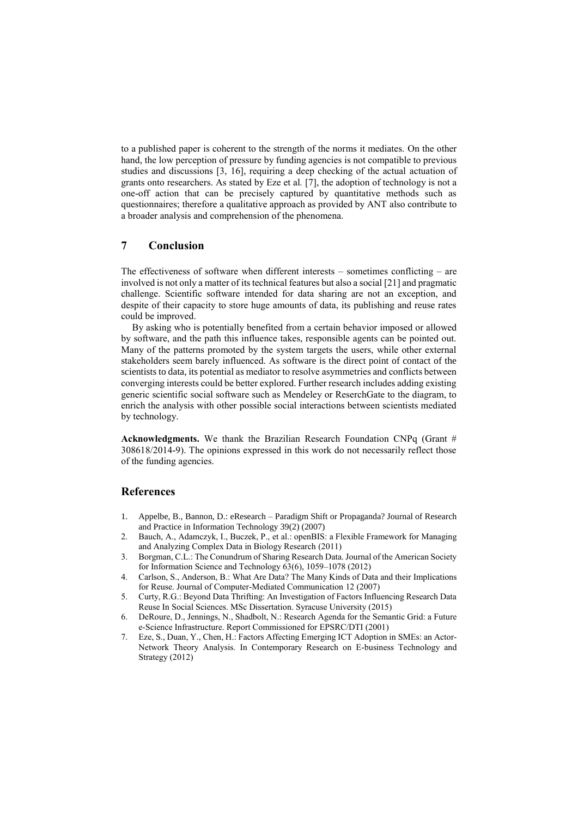to a published paper is coherent to the strength of the norms it mediates. On the other hand, the low perception of pressure by funding agencies is not compatible to previous studies and discussions [3, 16], requiring a deep checking of the actual actuation of grants onto researchers. As stated by Eze et al*.* [7], the adoption of technology is not a one-off action that can be precisely captured by quantitative methods such as questionnaires; therefore a qualitative approach as provided by ANT also contribute to a broader analysis and comprehension of the phenomena.

#### **7 Conclusion**

The effectiveness of software when different interests – sometimes conflicting – are involved is not only a matter of its technical features but also a social [21] and pragmatic challenge. Scientific software intended for data sharing are not an exception, and despite of their capacity to store huge amounts of data, its publishing and reuse rates could be improved.

By asking who is potentially benefited from a certain behavior imposed or allowed by software, and the path this influence takes, responsible agents can be pointed out. Many of the patterns promoted by the system targets the users, while other external stakeholders seem barely influenced. As software is the direct point of contact of the scientists to data, its potential as mediator to resolve asymmetries and conflicts between converging interests could be better explored. Further research includes adding existing generic scientific social software such as Mendeley or ReserchGate to the diagram, to enrich the analysis with other possible social interactions between scientists mediated by technology.

**Acknowledgments.** We thank the Brazilian Research Foundation CNPq (Grant # 308618/2014-9). The opinions expressed in this work do not necessarily reflect those of the funding agencies.

#### **References**

- 1. Appelbe, B., Bannon, D.: eResearch Paradigm Shift or Propaganda? Journal of Research and Practice in Information Technology 39(2) (2007)
- 2. Bauch, A., Adamczyk, I., Buczek, P., et al.: openBIS: a Flexible Framework for Managing and Analyzing Complex Data in Biology Research (2011)
- 3. Borgman, C.L.: The Conundrum of Sharing Research Data. Journal of the American Society for Information Science and Technology 63(6), 1059–1078 (2012)
- 4. Carlson, S., Anderson, B.: What Are Data? The Many Kinds of Data and their Implications for Reuse. Journal of Computer-Mediated Communication 12 (2007)
- 5. Curty, R.G.: Beyond Data Thrifting: An Investigation of Factors Influencing Research Data Reuse In Social Sciences. MSc Dissertation. Syracuse University (2015)
- 6. DeRoure, D., Jennings, N., Shadbolt, N.: Research Agenda for the Semantic Grid: a Future e-Science Infrastructure. Report Commissioned for EPSRC/DTI (2001)
- 7. Eze, S., Duan, Y., Chen, H.: Factors Affecting Emerging ICT Adoption in SMEs: an Actor-Network Theory Analysis. In Contemporary Research on E-business Technology and Strategy (2012)